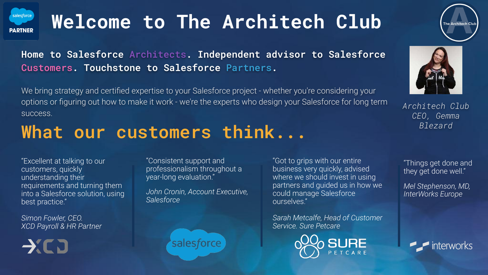

# **Welcome to The Architech Club**

**Home to Salesforce Architects. Independent advisor to Salesforce Customers. Touchstone to Salesforce Partners.**

We bring strategy and certified expertise to your Salesforce project - whether you're considering your options or figuring out how to make it work - we're the experts who design your Salesforce for long term success.

### **What our customers think...**

"Excellent at talking to our customers, quickly understanding their requirements and turning them into a Salesforce solution, using best practice."

*Simon Fowler, CEO. XCD Payroll & HR Partner*

 $\rightarrow$ CD

"Consistent support and professionalism throughout a year-long evaluation."

*John Cronin, Account Executive, Salesforce* 

salesforce

"Got to grips with our entire business very quickly, advised where we should invest in using partners and guided us in how we could manage Salesforce ourselves."

*Sarah Metcalfe, Head of Customer Service. Sure Petcare*





*Architech Club CEO, Gemma Blezard*

"Things get done and they get done well."

*Mel Stephenson, MD, InterWorks Europe*

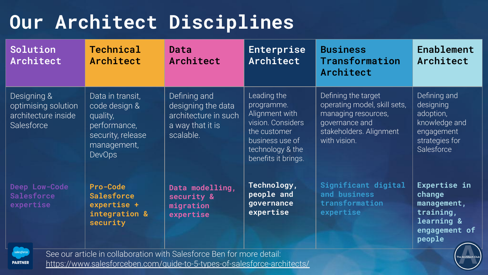# **Our Architect Disciplines**

| Solution<br>Architect                                                   | Technical<br>Architect                                                                                                                             | Data<br>Architect                                                                           | Enterprise<br>Architect                                                                                                                        | <b>Business</b><br><b>Transformation</b><br>Architect                                                                                   | Enablement<br>Architect                                                                               |
|-------------------------------------------------------------------------|----------------------------------------------------------------------------------------------------------------------------------------------------|---------------------------------------------------------------------------------------------|------------------------------------------------------------------------------------------------------------------------------------------------|-----------------------------------------------------------------------------------------------------------------------------------------|-------------------------------------------------------------------------------------------------------|
| Designing &<br>optimising solution<br>architecture inside<br>Salesforce | Data in transit,<br>code design &<br>quality,<br>performance,<br>security, release<br>management,<br><b>DevOps</b>                                 | Defining and<br>designing the data<br>architecture in such<br>a way that it is<br>scalable. | Leading the<br>programme.<br>Alignment with<br>vision. Considers<br>the customer<br>business use of<br>technology & the<br>benefits it brings. | Defining the target<br>operating model, skill sets,<br>managing resources,<br>governance and<br>stakeholders. Alignment<br>with vision. | Defining and<br>designing<br>adoption,<br>knowledge and<br>engagement<br>strategies for<br>Salesforce |
| Deep Low-Code<br><b>Salesforce</b><br>expertise<br>salesforce           | Pro-Code<br><b>Salesforce</b><br>expertise +<br>integration &<br>security<br>See our article in collaboration with Salesforce Ben for more detail: | Data modelling,<br>security &<br>migration<br>expertise                                     | Technology,<br>people and<br>governance<br>expertise                                                                                           | Significant digital<br>and business<br>transformation<br>expertise                                                                      | Expertise in<br>change<br>management,<br>training,<br>learning &<br>engagement of<br>people           |

https://www.salesforceben.com/guide-to-5-types-of-salesforce-architects/

**PARTNER**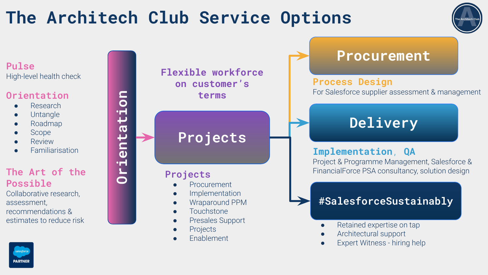## **The Architech Club Service Options**



**Pulse** High-level health check

#### **Orientation**

- Research
- **Untangle**
- **Roadmap**
- **Scope**
- **Review**
- **Familiarisation**

**Orientation**

#### **The Art of the Possible**

Collaborative research, assessment, recommendations & estimates to reduce risk



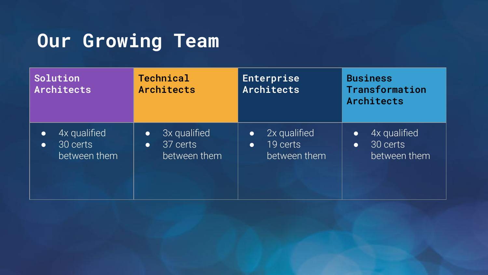## **Our Growing Team**

| Solution<br><b>Architects</b> | <b>Technical</b><br>Architects | Enterprise<br>Architects | <b>Business</b><br>Transformation<br>Architects |
|-------------------------------|--------------------------------|--------------------------|-------------------------------------------------|
| 4x qualified                  | 3x qualified                   | 2x qualified             | 4x qualified                                    |
| $\bullet$                     | $\bullet$                      | $\bullet$                | $\bullet$                                       |
| 30 certs                      | 37 certs                       | 19 certs                 | 30 certs                                        |
| $\bullet$                     | $\bullet$                      | $\bullet$                | $\bullet$                                       |
| between them                  | between them                   | between them             | between them                                    |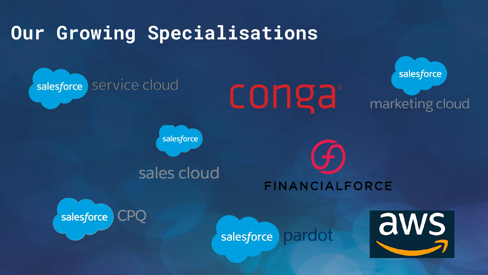## **Our Growing Specialisations**